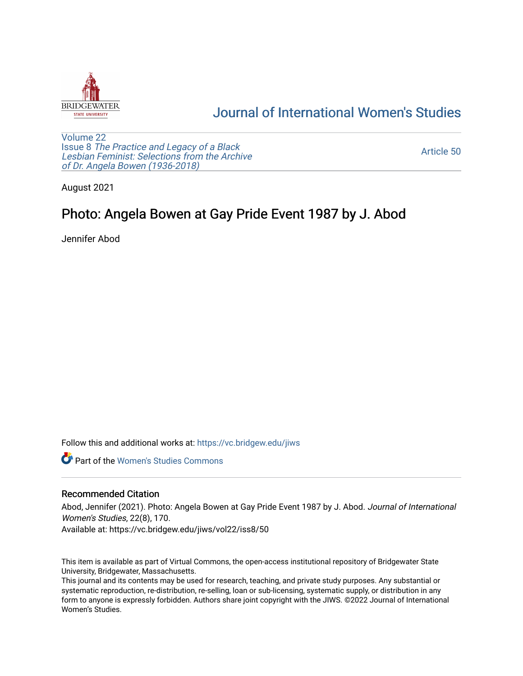

## [Journal of International Women's Studies](https://vc.bridgew.edu/jiws)

[Volume 22](https://vc.bridgew.edu/jiws/vol22) Issue 8 [The Practice and Legacy of a Black](https://vc.bridgew.edu/jiws/vol22/iss8)  [Lesbian Feminist: Selections from the Archive](https://vc.bridgew.edu/jiws/vol22/iss8)  [of Dr. Angela Bowen \(1936-2018\)](https://vc.bridgew.edu/jiws/vol22/iss8)

[Article 50](https://vc.bridgew.edu/jiws/vol22/iss8/50) 

August 2021

## Photo: Angela Bowen at Gay Pride Event 1987 by J. Abod

Jennifer Abod

Follow this and additional works at: [https://vc.bridgew.edu/jiws](https://vc.bridgew.edu/jiws?utm_source=vc.bridgew.edu%2Fjiws%2Fvol22%2Fiss8%2F50&utm_medium=PDF&utm_campaign=PDFCoverPages)

**C** Part of the Women's Studies Commons

## Recommended Citation

Abod, Jennifer (2021). Photo: Angela Bowen at Gay Pride Event 1987 by J. Abod. Journal of International Women's Studies, 22(8), 170.

Available at: https://vc.bridgew.edu/jiws/vol22/iss8/50

This item is available as part of Virtual Commons, the open-access institutional repository of Bridgewater State University, Bridgewater, Massachusetts.

This journal and its contents may be used for research, teaching, and private study purposes. Any substantial or systematic reproduction, re-distribution, re-selling, loan or sub-licensing, systematic supply, or distribution in any form to anyone is expressly forbidden. Authors share joint copyright with the JIWS. ©2022 Journal of International Women's Studies.